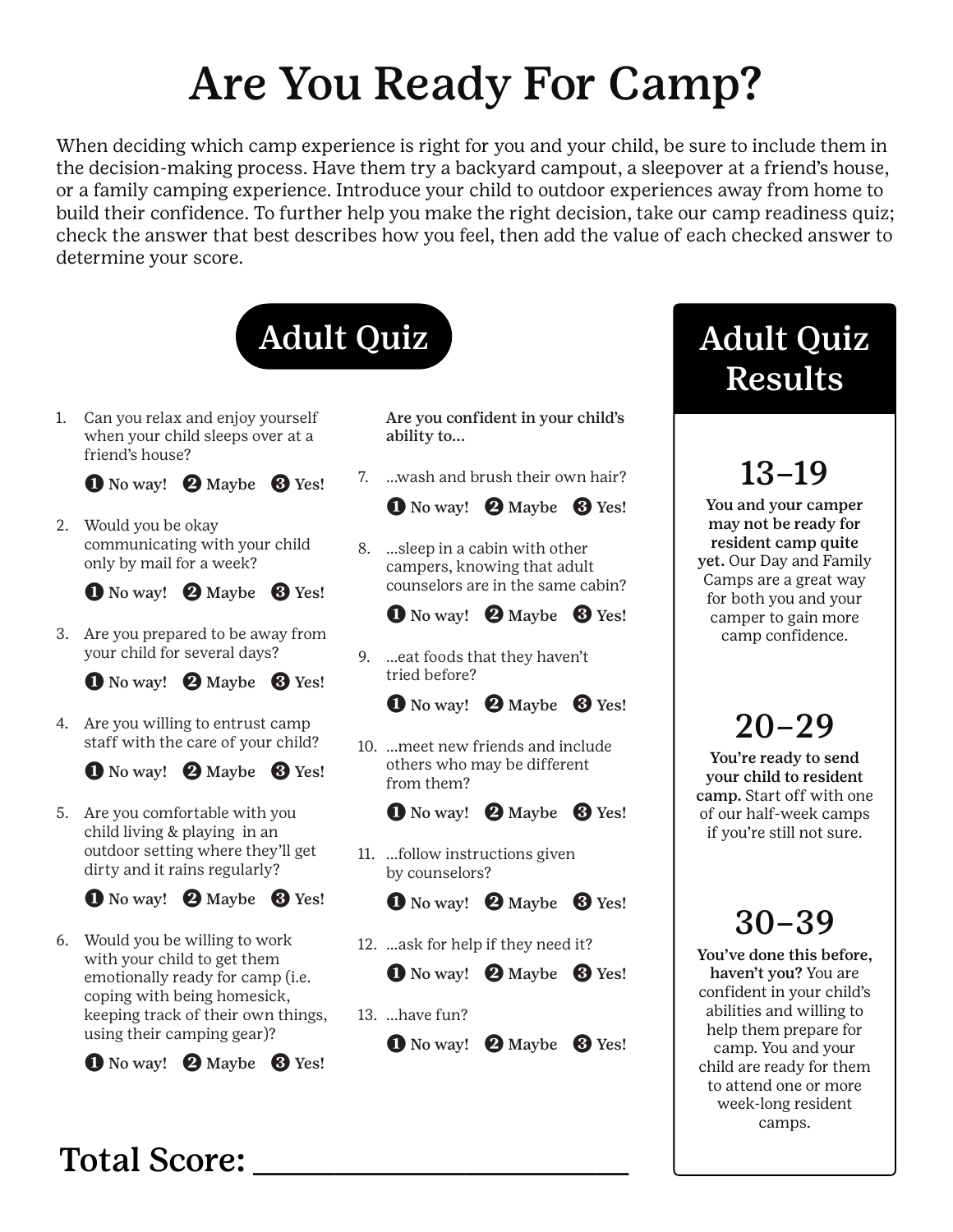# Are You Ready For Camp?

When deciding which camp experience is right for you and your child, be sure to include them in the decision-making process. Have them try a backyard campout, a sleepover at a friend's house, or a family camping experience. Introduce your child to outdoor experiences away from home to build their confidence. To further help you make the right decision, take our camp readiness quiz; check the answer that best describes how you feel, then add the value of each checked answer to determine your score.



1. Can you relax and enjoy yourself when your child sleeps over at a friend's house?

**1 No way! 2 Maybe 8 Yes!** 

2. Would you be okay communicating with your child only by mail for a week?

**1 No way! 2 Maybe 8 Yes!** 

3. Are you prepared to be away from your child for several days?

 $\bullet$  No way!  $\bullet$  Maybe  $\bullet$  Yes!

4. Are you willing to entrust camp staff with the care of your child?

**1 No way! 2 Maybe 3 Yes!** 

5. Are you comfortable with you child living & playing in an outdoor setting where they'll get dirty and it rains regularly?

**1 No way! 2 Maybe 3 Yes!** 

6. Would you be willing to work with your child to get them emotionally ready for camp (i.e. coping with being homesick, keeping track of their own things, using their camping gear)?

**1 No way! 2 Maybe 3 Yes!** 

Are you confident in your child's ability to...

7. …wash and brush their own hair?

 $\bullet$  No way!  $\bullet$  Maybe  $\bullet$  Yes!

8. …sleep in a cabin with other campers, knowing that adult counselors are in the same cabin?

**1** No way! **2** Maybe **8** Yes!

9. …eat foods that they haven't tried before?

**1** No way! **2** Maybe **8** Yes!

10. …meet new friends and include others who may be different from them?

 $\bullet$  No way!  $\bullet$  Maybe  $\bullet$  Yes!

11. …follow instructions given by counselors?

**1** No way! **2** Maybe **8** Yes!

12. …ask for help if they need it?

**1** No way! **2** Maybe **8** Yes!

13. ...have fun?

**1 No way! 2 Maybe 3 Yes!** 

# Adult Quiz Results

13–19

You and your camper may not be ready for resident camp quite yet. Our Day and Family Camps are a great way for both you and your camper to gain more camp confidence.

# 20–29

You're ready to send your child to resident camp. Start off with one of our half-week camps if you're still not sure.

# 30–39

You've done this before, haven't you? You are confident in your child's abilities and willing to help them prepare for camp. You and your child are ready for them to attend one or more week-long resident camps.

#### Total Score: